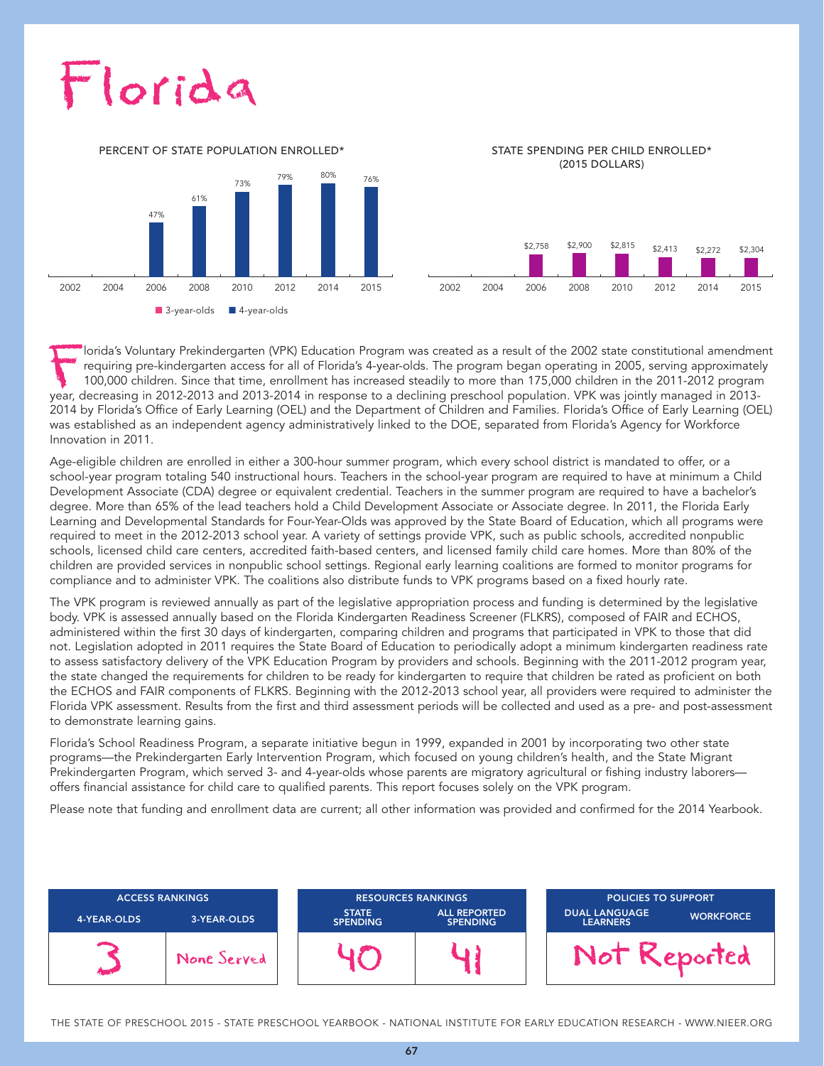# Florida

**■** 3-year-olds **■** 4-year-olds 47% 61% 73% 79% 80% 76%

PERCENT OF STATE POPULATION ENROLLED\*

STATE SPENDING PER CHILD ENROLLED\* (2015 DOLLARS)



lorida's Voluntary Prekindergarten (VPK) Education Program was created as a result of the 2002 state constitutional amendment requiring pre-kindergarten access for all of Florida's 4-year-olds. The program began operating in 2005, serving approximately 100,000 children. Since that time, enrollment has increased steadily to more than 175,000 children in the 2011-2012 program year, decreasing in 2012-2013 and 2013-2014 in response to a declining preschool population. VPK was jointly managed in 2013- 2014 by Florida's Office of Early Learning (OEL) and the Department of Children and Families. Florida's Office of Early Learning (OEL) was established as an independent agency administratively linked to the DOE, separated from Florida's Agency for Workforce Innovation in 2011.

Age-eligible children are enrolled in either a 300-hour summer program, which every school district is mandated to offer, or a school-year program totaling 540 instructional hours. Teachers in the school-year program are required to have at minimum a Child Development Associate (CDA) degree or equivalent credential. Teachers in the summer program are required to have a bachelor's degree. More than 65% of the lead teachers hold a Child Development Associate or Associate degree. In 2011, the Florida Early Learning and Developmental Standards for Four-Year-Olds was approved by the State Board of Education, which all programs were required to meet in the 2012-2013 school year. A variety of settings provide VPK, such as public schools, accredited nonpublic schools, licensed child care centers, accredited faith-based centers, and licensed family child care homes. More than 80% of the children are provided services in nonpublic school settings. Regional early learning coalitions are formed to monitor programs for compliance and to administer VPK. The coalitions also distribute funds to VPK programs based on a fixed hourly rate.

The VPK program is reviewed annually as part of the legislative appropriation process and funding is determined by the legislative body. VPK is assessed annually based on the Florida Kindergarten Readiness Screener (FLKRS), composed of FAIR and ECHOS, administered within the first 30 days of kindergarten, comparing children and programs that participated in VPK to those that did not. Legislation adopted in 2011 requires the State Board of Education to periodically adopt a minimum kindergarten readiness rate to assess satisfactory delivery of the VPK Education Program by providers and schools. Beginning with the 2011-2012 program year, the state changed the requirements for children to be ready for kindergarten to require that children be rated as proficient on both the ECHOS and FAIR components of FLKRS. Beginning with the 2012-2013 school year, all providers were required to administer the Florida VPK assessment. Results from the first and third assessment periods will be collected and used as a pre- and post-assessment to demonstrate learning gains.

Florida's School Readiness Program, a separate initiative begun in 1999, expanded in 2001 by incorporating two other state programs—the Prekindergarten Early Intervention Program, which focused on young children's health, and the State Migrant Prekindergarten Program, which served 3- and 4-year-olds whose parents are migratory agricultural or fishing industry laborers offers financial assistance for child care to qualified parents. This report focuses solely on the VPK program.

Please note that funding and enrollment data are current; all other information was provided and confirmed for the 2014 Yearbook.



THE STATE OF PRESCHOOL 2015 - STATE PRESCHOOL YEARBOOK - NATIONAL INSTITUTE FOR EARLY EDUCATION RESEARCH - WWW.NIEER.ORG